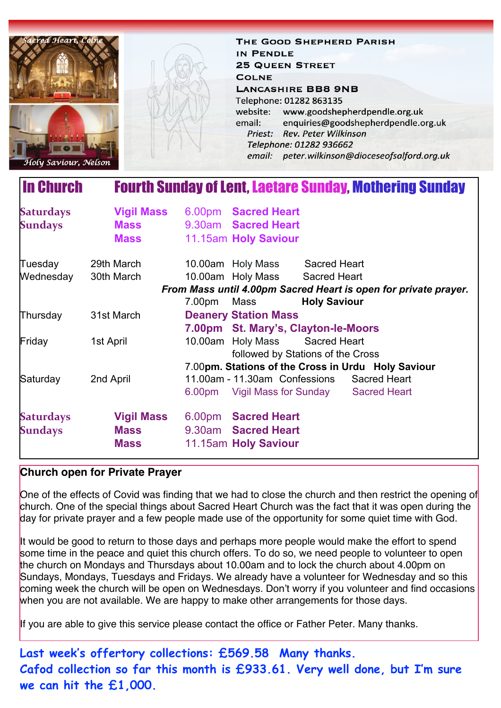

THE GOOD SHEPHERD PARISH IN PENDLE **25 QUEEN STREET COLNE LANCASHIRE BB8 9NB** Telephone: 01282 863135 website: www.goodshepherdpendle.org.uk email: enquiries@goodshepherdpendle.org.uk Priest: Rev. Peter Wilkinson Telephone: 01282 936662 email: peter.wilkinson@dioceseofsalford.org.uk

## In Church Fourth Sunday of Lent, Laetare Sunday, Mothering Sunday

| <b>Saturdays</b><br><b>Sundays</b>                              | <b>Vigil Mass</b><br><b>Mass</b><br><b>Mass</b> |             | 6.00pm Sacred Heart<br>9.30am Sacred Heart<br>11.15am Holy Saviour |                                |                                                    |
|-----------------------------------------------------------------|-------------------------------------------------|-------------|--------------------------------------------------------------------|--------------------------------|----------------------------------------------------|
| Tuesday                                                         | 29th March                                      |             | 10.00am Holy Mass                                                  | <b>Sacred Heart</b>            |                                                    |
| Wednesday                                                       | 30th March                                      |             | 10.00am Holy Mass Sacred Heart                                     |                                |                                                    |
| From Mass until 4.00pm Sacred Heart is open for private prayer. |                                                 |             |                                                                    |                                |                                                    |
|                                                                 |                                                 | 7.00pm Mass |                                                                    | <b>Holy Saviour</b>            |                                                    |
| Thursday                                                        | 31st March                                      |             | <b>Deanery Station Mass</b>                                        |                                |                                                    |
|                                                                 |                                                 |             | 7.00pm St. Mary's, Clayton-le-Moors                                |                                |                                                    |
| Friday                                                          | 1st April                                       |             |                                                                    | 10.00am Holy Mass Sacred Heart |                                                    |
|                                                                 |                                                 |             | followed by Stations of the Cross                                  |                                |                                                    |
|                                                                 |                                                 |             |                                                                    |                                | 7.00pm. Stations of the Cross in Urdu Holy Saviour |
| Saturday                                                        | 2nd April                                       |             | 11.00am - 11.30am Confessions Sacred Heart                         |                                |                                                    |
|                                                                 |                                                 |             | 6.00pm Vigil Mass for Sunday Sacred Heart                          |                                |                                                    |
| <b>Saturdays</b>                                                | <b>Vigil Mass</b>                               |             | 6.00pm Sacred Heart                                                |                                |                                                    |
| <b>Sundays</b>                                                  | <b>Mass</b>                                     |             | 9.30am Sacred Heart                                                |                                |                                                    |
|                                                                 | <b>Mass</b>                                     |             | 11.15am Holy Saviour                                               |                                |                                                    |

### **Church open for Private Prayer**

One of the effects of Covid was finding that we had to close the church and then restrict the opening of church. One of the special things about Sacred Heart Church was the fact that it was open during the day for private prayer and a few people made use of the opportunity for some quiet time with God.

It would be good to return to those days and perhaps more people would make the effort to spend some time in the peace and quiet this church offers. To do so, we need people to volunteer to open the church on Mondays and Thursdays about 10.00am and to lock the church about 4.00pm on Sundays, Mondays, Tuesdays and Fridays. We already have a volunteer for Wednesday and so this coming week the church will be open on Wednesdays. Don't worry if you volunteer and find occasions when you are not available. We are happy to make other arrangements for those days.

If you are able to give this service please contact the office or Father Peter. Many thanks.

**Last week's offertory collections: £569.58 Many thanks. Cafod collection so far this month is £933.61. Very well done, but I'm sure we can hit the £1,000.**